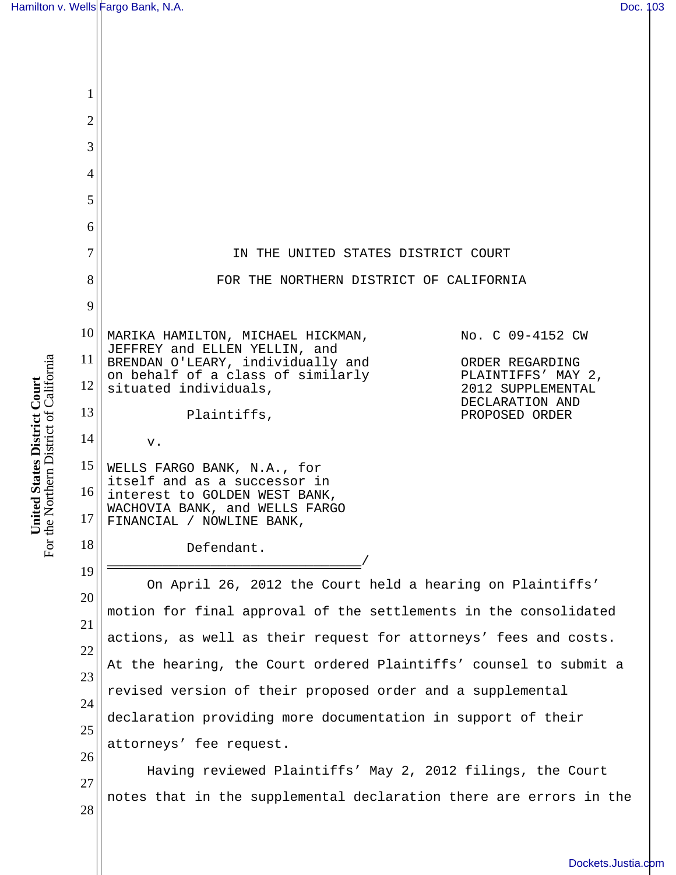| 1              |                                                                                                                                       |                                                            |  |
|----------------|---------------------------------------------------------------------------------------------------------------------------------------|------------------------------------------------------------|--|
| $\overline{2}$ |                                                                                                                                       |                                                            |  |
| 3              |                                                                                                                                       |                                                            |  |
| 4              |                                                                                                                                       |                                                            |  |
| 5              |                                                                                                                                       |                                                            |  |
| 6              |                                                                                                                                       |                                                            |  |
| $\overline{7}$ | IN THE UNITED STATES DISTRICT COURT                                                                                                   |                                                            |  |
| 8              |                                                                                                                                       | FOR THE NORTHERN DISTRICT OF CALIFORNIA                    |  |
| 9              |                                                                                                                                       |                                                            |  |
| 10             | MARIKA HAMILTON, MICHAEL HICKMAN,                                                                                                     | No. C 09-4152 CW                                           |  |
| 11             | JEFFREY and ELLEN YELLIN, and<br>BRENDAN O'LEARY, individually and<br>on behalf of a class of similarly                               | ORDER REGARDING<br>PLAINTIFFS' MAY 2,                      |  |
| 12             | situated individuals,                                                                                                                 | 2012 SUPPLEMENTAL<br>DECLARATION AND                       |  |
| 13             | Plaintiffs,                                                                                                                           | PROPOSED ORDER                                             |  |
| 14             | v.                                                                                                                                    |                                                            |  |
| 15             | WELLS FARGO BANK, N.A., for<br>itself and as a successor in                                                                           |                                                            |  |
| 16<br>17       | interest to GOLDEN WEST BANK,<br>WACHOVIA BANK, and WELLS FARGO<br>FINANCIAL / NOWLINE BANK,                                          |                                                            |  |
| 18             | Defendant.                                                                                                                            |                                                            |  |
| 19             |                                                                                                                                       |                                                            |  |
| 20             | On April 26, 2012 the Court held a hearing on Plaintiffs'                                                                             |                                                            |  |
| 21             | motion for final approval of the settlements in the consolidated                                                                      |                                                            |  |
| 22             | actions, as well as their request for attorneys' fees and costs.<br>At the hearing, the Court ordered Plaintiffs' counsel to submit a |                                                            |  |
| 23             | revised version of their proposed order and a supplemental                                                                            |                                                            |  |
| 24             | declaration providing more documentation in support of their                                                                          |                                                            |  |
| 25             | attorneys' fee request.                                                                                                               |                                                            |  |
| 26             |                                                                                                                                       | Having reviewed Plaintiffs' May 2, 2012 filings, the Court |  |
| 27             | notes that in the supplemental declaration there are errors in the                                                                    |                                                            |  |
| 28             |                                                                                                                                       |                                                            |  |
|                |                                                                                                                                       |                                                            |  |

**United States District Court**  For the Northern District of California

**United States District Court**<br>For the Northern District of California